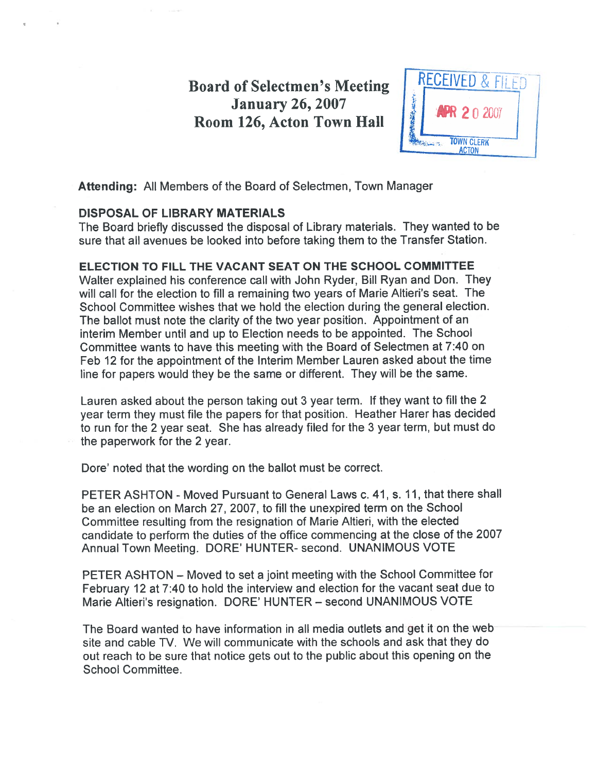# **Board of Selectmen's Meeting | RECEIVED & FILED** Soard of Selectmen's Meeting<br>January 26, 2007<br>Room 126. Acton Town Hall **APR 2** 0 2007



Attending: All Members of the Board of Selectmen, Town Manager

## DISPOSAL OF LIBRARY MATERIALS

The Board briefly discussed the disposal of Library materials. They wanted to be sure that all avenues be looked into before taking them to the Transfer Station.

# ELECTION TO FILL THE VACANT SEAT ON THE SCHOOL COMMITTEE

Walter explained his conference call with John Ryder, Bill Ryan and Don. They will call for the election to fill <sup>a</sup> remaining two years of Marie Altieri's seat. The School Committee wishes that we hold the election during the general election. The ballot must note the clarity of the two year position. Appointment of an interim Member until and up to Election needs to be appointed. The School Committee wants to have this meeting with the Board of Selectmen at 7:40 on Feb <sup>12</sup> for the appointment of the Interim Member Lauren asked about the time line for papers would they be the same or different. They will be the same.

Lauren asked about the person taking out <sup>3</sup> year term. If they want to fill the <sup>2</sup> year term they must file the papers for that position. Heather Harer has decided to run for the <sup>2</sup> year seat. She has already filed for the <sup>3</sup> year term, but must do the paperwork for the 2 year.

Dore' noted that the wording on the ballot must be correct.

PETER ASHTON - Moved Pursuant to General Laws c. 41, s. 11, that there shall be an election on March 27, 2007, to fill the unexpired term on the School Committee resulting from the resignation of Marie Altieri, with the elected candidate to perform the duties of the office commencing at the close of the <sup>2007</sup> Annual Town Meeting. DORE' HUNTER- second. UNANIMOUS VOTE

PETER ASHTON — Moved to set <sup>a</sup> joint meeting with the School Committee for February <sup>12</sup> at 7:40 to hold the interview and election for the vacant seat due to Marie Altieri's resignation. DORE' HUNTER — second UNANIMOUS VOTE

The Board wanted to have information in all media outlets and ge<sup>t</sup> it on the web site and cable TV. We will communicate with the schools and ask that they do out reach to be sure that notice gets out to the public about this opening on the School Committee.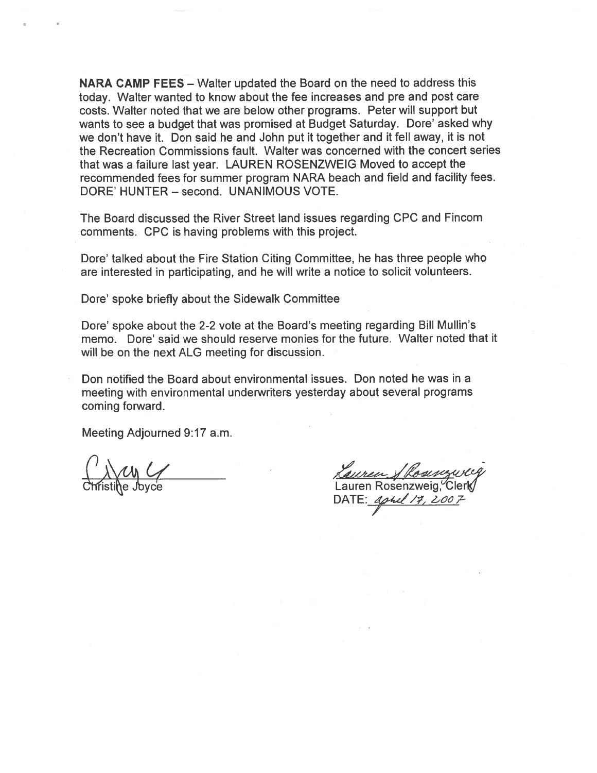NARA CAMP FEES — Walter updated the Board on the need to address this today. Walter wanted to know about the fee increases and pre and pos<sup>t</sup> care costs. Walter noted that we are below other programs. Peter will suppor<sup>t</sup> but wants to see <sup>a</sup> budget that was promised at Budget Saturday. Dore' asked why we don't have it. Don said he and John pu<sup>t</sup> it together and it fell away, it is not the Recreation Commissions fault. Walter was concerned with the concert series that was <sup>a</sup> failure last year. LAUREN ROSENZWEIG Moved to accep<sup>t</sup> the recommended fees for summer program NARA beach and field and facility fees. DORE' HUNTER — second. UNANIMOUS VOTE. NARA CAMP FEES – Walter<br>
oday. Walter wanted to know<br>
costs. Walter noted that we a<br>
wants to see a budget that wa<br>
we don't have it. Don said he<br>
the Recreation Commissions<br>
that was a failure last year. L<br>
recommended fe d the Board on the need to address<br>the fee increases and pre and post<br>v other programs. Peter will support<br>ised at Budget Saturday. Dore' askspanding that the senting will support<br>Valter was concerned with the concept valu

The Board discussed the River Street land issues regarding CPC and Fincom comments. CPC is having problems with this project.

Dore' talked about the Fire Station Citing Committee, he has three people who are interested in participating, and he will write <sup>a</sup> notice to solicit volunteers.

Dore' spoke briefly about the Sidewalk Committee

Dore' spoke about the 2-2 vote at the Board's meeting regarding Bill Mullin's memo. Dore' said we should reserve monies for the future. Walter noted that it will be on the next ALG meeting for discussion.

Don notified the Board about environmental issues. Don noted he was in <sup>a</sup> meeting with environmental underwriters yesterday about several programs coming forward.

 $\frac{1}{\sqrt{2}}$ 

 $DATE: Aphel/7$ ,